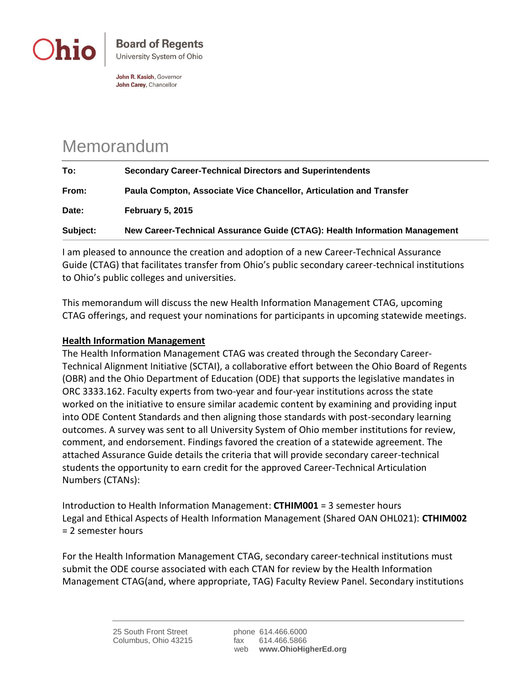

John R. Kasich, Governor John Carey, Chancellor

## Memorandum

| To:      | <b>Secondary Career-Technical Directors and Superintendents</b>            |
|----------|----------------------------------------------------------------------------|
| From:    | Paula Compton, Associate Vice Chancellor, Articulation and Transfer        |
| Date:    | <b>February 5, 2015</b>                                                    |
| Subject: | New Career-Technical Assurance Guide (CTAG): Health Information Management |

I am pleased to announce the creation and adoption of a new Career-Technical Assurance Guide (CTAG) that facilitates transfer from Ohio's public secondary career-technical institutions to Ohio's public colleges and universities.

This memorandum will discuss the new Health Information Management CTAG, upcoming CTAG offerings, and request your nominations for participants in upcoming statewide meetings.

## **Health Information Management**

The Health Information Management CTAG was created through the Secondary Career-Technical Alignment Initiative (SCTAI), a collaborative effort between the Ohio Board of Regents (OBR) and the Ohio Department of Education (ODE) that supports the legislative mandates in ORC 3333.162. Faculty experts from two-year and four-year institutions across the state worked on the initiative to ensure similar academic content by examining and providing input into ODE Content Standards and then aligning those standards with post-secondary learning outcomes. A survey was sent to all University System of Ohio member institutions for review, comment, and endorsement. Findings favored the creation of a statewide agreement. The attached Assurance Guide details the criteria that will provide secondary career-technical students the opportunity to earn credit for the approved Career-Technical Articulation Numbers (CTANs):

Introduction to Health Information Management: **CTHIM001** = 3 semester hours Legal and Ethical Aspects of Health Information Management (Shared OAN OHL021): **CTHIM002**  = 2 semester hours

For the Health Information Management CTAG, secondary career-technical institutions must submit the ODE course associated with each CTAN for review by the Health Information Management CTAG(and, where appropriate, TAG) Faculty Review Panel. Secondary institutions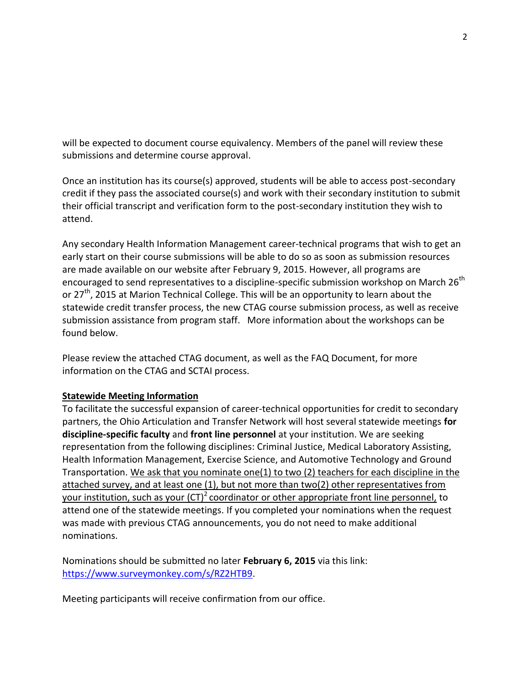will be expected to document course equivalency. Members of the panel will review these submissions and determine course approval.

Once an institution has its course(s) approved, students will be able to access post-secondary credit if they pass the associated course(s) and work with their secondary institution to submit their official transcript and verification form to the post-secondary institution they wish to attend.

Any secondary Health Information Management career-technical programs that wish to get an early start on their course submissions will be able to do so as soon as submission resources are made available on our website after February 9, 2015. However, all programs are encouraged to send representatives to a discipline-specific submission workshop on March 26<sup>th</sup> or  $27<sup>th</sup>$ , 2015 at Marion Technical College. This will be an opportunity to learn about the statewide credit transfer process, the new CTAG course submission process, as well as receive submission assistance from program staff. More information about the workshops can be found below.

Please review the attached CTAG document, as well as the FAQ Document, for more information on the CTAG and SCTAI process.

## **Statewide Meeting Information**

To facilitate the successful expansion of career-technical opportunities for credit to secondary partners, the Ohio Articulation and Transfer Network will host several statewide meetings **for discipline-specific faculty** and **front line personnel** at your institution. We are seeking representation from the following disciplines: Criminal Justice, Medical Laboratory Assisting, Health Information Management, Exercise Science, and Automotive Technology and Ground Transportation. We ask that you nominate one(1) to two (2) teachers for each discipline in the attached survey, and at least one (1), but not more than two(2) other representatives from your institution, such as your  $(CT)^2$  coordinator or other appropriate front line personnel, to attend one of the statewide meetings. If you completed your nominations when the request was made with previous CTAG announcements, you do not need to make additional nominations.

Nominations should be submitted no later **February 6, 2015** via this link: [https://www.surveymonkey.com/s/RZ2HTB9.](https://www.surveymonkey.com/s/RZ2HTB9)

Meeting participants will receive confirmation from our office.